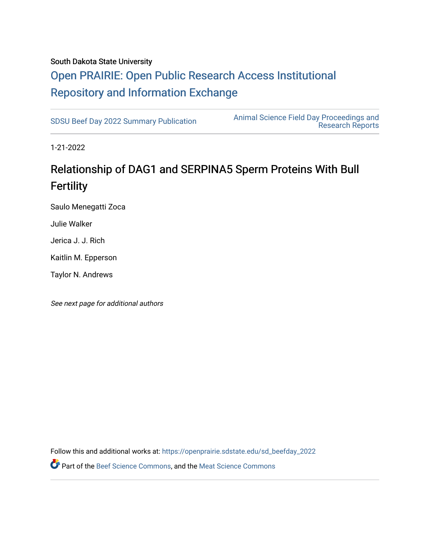#### South Dakota State University

## [Open PRAIRIE: Open Public Research Access Institutional](https://openprairie.sdstate.edu/)  [Repository and Information Exchange](https://openprairie.sdstate.edu/)

[SDSU Beef Day 2022 Summary Publication](https://openprairie.sdstate.edu/sd_beefday_2022) [Animal Science Field Day Proceedings and](https://openprairie.sdstate.edu/ans_reports)  [Research Reports](https://openprairie.sdstate.edu/ans_reports) 

1-21-2022

### Relationship of DAG1 and SERPINA5 Sperm Proteins With Bull **Fertility**

Saulo Menegatti Zoca

Julie Walker

Jerica J. J. Rich

Kaitlin M. Epperson

Taylor N. Andrews

See next page for additional authors

Follow this and additional works at: [https://openprairie.sdstate.edu/sd\\_beefday\\_2022](https://openprairie.sdstate.edu/sd_beefday_2022?utm_source=openprairie.sdstate.edu%2Fsd_beefday_2022%2F11&utm_medium=PDF&utm_campaign=PDFCoverPages)  **P** Part of the [Beef Science Commons,](http://network.bepress.com/hgg/discipline/1404?utm_source=openprairie.sdstate.edu%2Fsd_beefday_2022%2F11&utm_medium=PDF&utm_campaign=PDFCoverPages) and the [Meat Science Commons](http://network.bepress.com/hgg/discipline/1301?utm_source=openprairie.sdstate.edu%2Fsd_beefday_2022%2F11&utm_medium=PDF&utm_campaign=PDFCoverPages)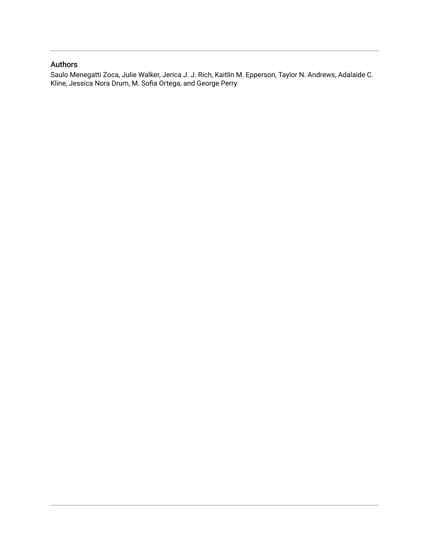#### Authors

Saulo Menegatti Zoca, Julie Walker, Jerica J. J. Rich, Kaitlin M. Epperson, Taylor N. Andrews, Adalaide C. Kline, Jessica Nora Drum, M. Sofia Ortega, and George Perry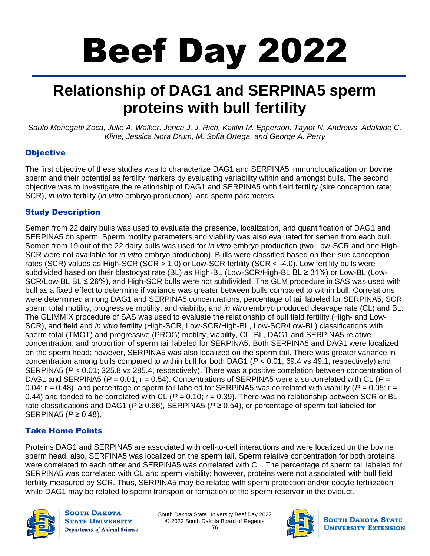# Beef Day 2022

# **Relationship of DAG1 and SERPINA5 sperm proteins with bull fertility**

Saulo Menegatti Zoca, Julie A. Walker, Jerica J. J. Rich, Kaitlin M. Epperson, Taylor N. Andrews, Adalaide C. *Kline, Jessica Nora Drum, M. Sofia Ortega, and George A. Perry*

#### **Objective**

The first objective of these studies was to characterize DAG1 and SERPINA5 immunolocalization on bovine sperm and their potential as fertility markers by evaluating variability within and amongst bulls. The second objective was to investigate the relationship of DAG1 and SERPINA5 with field fertility (sire conception rate; SCR), *in vitro* fertility (*in vitro* embryo production), and sperm parameters.

#### Study Description

Semen from 22 dairy bulls was used to evaluate the presence, localization, and quantification of DAG1 and SERPINA5 on sperm. Sperm motility parameters and viability was also evaluated for semen from each bull. Semen from 19 out of the 22 dairy bulls was used for *in vitro* embryo production (two Low-SCR and one High-SCR were not available for *in vitro* embryo production). Bulls were classified based on their sire conception rates (SCR) values as High-SCR (SCR > 1.0) or Low-SCR fertility (SCR < -4.0). Low fertility bulls were subdivided based on their blastocyst rate (BL) as High-BL (Low-SCR/High-BL BL ≥ 31%) or Low-BL (Low-SCR/Low-BL BL ≤ 26%), and High-SCR bulls were not subdivided. The GLM procedure in SAS was used with bull as a fixed effect to determine if variance was greater between bulls compared to within bull. Correlations were determined among DAG1 and SERPINA5 concentrations, percentage of tail labeled for SERPINA5, SCR, sperm total motility, progressive motility, and viability, and *in vitro* embryo produced cleavage rate (CL) and BL. The GLIMMIX procedure of SAS was used to evaluate the relationship of bull field fertility (High- and Low-SCR), and field and *in vitro* fertility (High-SCR, Low-SCR/High-BL, Low-SCR/Low-BL) classifications with sperm total (TMOT) and progressive (PROG) motility, viability, CL, BL, DAG1 and SERPINA5 relative concentration, and proportion of sperm tail labeled for SERPINA5. Both SERPINA5 and DAG1 were localized on the sperm head; however, SERPINA5 was also localized on the sperm tail. There was greater variance in concentration among bulls compared to within bull for both DAG1 (*P* < 0.01; 69.4 vs 49.1, respectively) and SERPINA5 (*P* < 0.01; 325.8 vs 285.4, respectively). There was a positive correlation between concentration of DAG1 and SERPINA5 ( $P = 0.01$ ;  $r = 0.54$ ). Concentrations of SERPINA5 were also correlated with CL ( $P =$ 0.04;  $r = 0.48$ ), and percentage of sperm tail labeled for SERPINA5 was correlated with viability ( $P = 0.05$ ;  $r =$ 0.44) and tended to be correlated with CL ( $P = 0.10$ ;  $r = 0.39$ ). There was no relationship between SCR or BL rate classifications and DAG1 ( $P \ge 0.66$ ), SERPINA5 ( $P \ge 0.54$ ), or percentage of sperm tail labeled for SERPINA5 (*P* ≥ 0.48).

#### Take Home Points

Proteins DAG1 and SERPINA5 are associated with cell-to-cell interactions and were localized on the bovine sperm head, also, SERPINA5 was localized on the sperm tail. Sperm relative concentration for both proteins were correlated to each other and SERPINA5 was correlated with CL. The percentage of sperm tail labeled for SERPINA5 was correlated with CL and sperm viability; however, proteins were not associated with bull field fertility measured by SCR. Thus, SERPINA5 may be related with sperm protection and/or oocyte fertilization while DAG1 may be related to sperm transport or formation of the sperm reservoir in the oviduct.



**SOUTH DAKOTA STATE UNIVERSITY** Department of Animal Science

South Dakota State University Beef Day 2022 © 2022 South Dakota Board of Regents 76



**SOUTH DAKOTA STATE UNIVERSITY EXTENSION**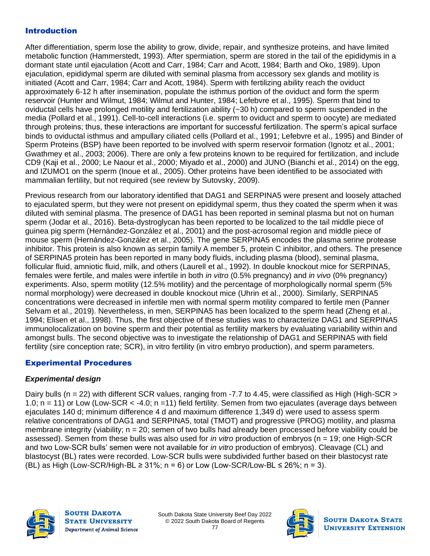#### Introduction

After differentiation, sperm lose the ability to grow, divide, repair, and synthesize proteins, and have limited metabolic function (Hammerstedt, 1993). After spermiation, sperm are stored in the tail of the epididymis in a dormant state until ejaculation (Acott and Carr, 1984; Carr and Acott, 1984; Barth and Oko, 1989). Upon ejaculation, epididymal sperm are diluted with seminal plasma from accessory sex glands and motility is initiated (Acott and Carr, 1984; Carr and Acott, 1984). Sperm with fertilizing ability reach the oviduct approximately 6-12 h after insemination, populate the isthmus portion of the oviduct and form the sperm reservoir (Hunter and Wilmut, 1984; Wilmut and Hunter, 1984; Lefebvre et al., 1995). Sperm that bind to oviductal cells have prolonged motility and fertilization ability (~30 h) compared to sperm suspended in the media (Pollard et al., 1991). Cell-to-cell interactions (i.e. sperm to oviduct and sperm to oocyte) are mediated through proteins; thus, these interactions are important for successful fertilization. The sperm's apical surface binds to oviductal isthmus and ampullary ciliated cells (Pollard et al., 1991; Lefebvre et al., 1995) and Binder of Sperm Proteins (BSP) have been reported to be involved with sperm reservoir formation (Ignotz et al., 2001; Gwathmey et al., 2003; 2006). There are only a few proteins known to be required for fertilization, and include CD9 (Kaji et al., 2000; Le Naour et al., 2000; Miyado et al., 2000) and JUNO (Bianchi et al., 2014) on the egg, and IZUMO1 on the sperm (Inoue et al., 2005). Other proteins have been identified to be associated with mammalian fertility, but not required (see review by Sutovsky, 2009).

Previous research from our laboratory identified that DAG1 and SERPINA5 were present and loosely attached to ejaculated sperm, but they were not present on epididymal sperm, thus they coated the sperm when it was diluted with seminal plasma. The presence of DAG1 has been reported in seminal plasma but not on human sperm (Jodar et al., 2016). Beta-dystroglycan has been reported to be localized to the tail middle piece of guinea pig sperm (Hernández-González et al., 2001) and the post-acrosomal region and middle piece of mouse sperm (Hernández-González et al., 2005). The gene SERPINA5 encodes the plasma serine protease inhibitor. This protein is also known as serpin family A member 5, protein C inhibitor, and others. The presence of SERPINA5 protein has been reported in many body fluids, including plasma (blood), seminal plasma, follicular fluid, amniotic fluid, milk, and others (Laurell et al., 1992). In double knockout mice for SERPINA5, females were fertile, and males were infertile in both *in vitro* (0.5% pregnancy) and *in vivo* (0% pregnancy) experiments. Also, sperm motility (12.5% motility) and the percentage of morphologically normal sperm (5% normal morphology) were decreased in double knockout mice (Uhrin et al., 2000). Similarly, SERPINA5 concentrations were decreased in infertile men with normal sperm motility compared to fertile men (Panner Selvam et al., 2019). Nevertheless, in men, SERPINA5 has been localized to the sperm head (Zheng et al., 1994; Elisen et al., 1998). Thus, the first objective of these studies was to characterize DAG1 and SERPINA5 immunolocalization on bovine sperm and their potential as fertility markers by evaluating variability within and amongst bulls. The second objective was to investigate the relationship of DAG1 and SERPINA5 with field fertility (sire conception rate; SCR), in vitro fertility (in vitro embryo production), and sperm parameters.

#### Experimental Procedures

#### *Experimental design*

Dairy bulls (n = 22) with different SCR values, ranging from -7.7 to 4.45, were classified as High (High-SCR > 1.0; n = 11) or Low (Low-SCR < -4.0; n =11) field fertility. Semen from two ejaculates (average days between ejaculates 140 d; minimum difference 4 d and maximum difference 1,349 d) were used to assess sperm relative concentrations of DAG1 and SERPINA5, total (TMOT) and progressive (PROG) motility, and plasma membrane integrity (viability; n = 20; semen of two bulls had already been processed before viability could be assessed). Semen from these bulls was also used for *in vitro* production of embryos (n = 19; one High-SCR and two Low-SCR bulls' semen were not available for *in vitro* production of embryos). Cleavage (CL) and blastocyst (BL) rates were recorded. Low-SCR bulls were subdivided further based on their blastocyst rate (BL) as High (Low-SCR/High-BL ≥ 31%; n = 6) or Low (Low-SCR/Low-BL ≤ 26%; n = 3).



**SOUTH DAKOTA STATE UNIVERSITY** Department of Animal Science



**SOUTH DAKOTA STATE UNIVERSITY EXTENSION**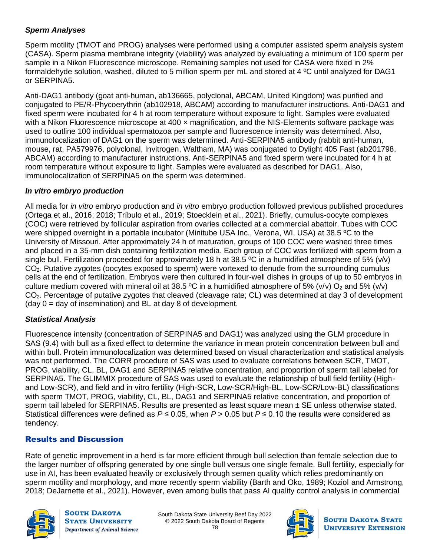#### *Sperm Analyses*

Sperm motility (TMOT and PROG) analyses were performed using a computer assisted sperm analysis system (CASA). Sperm plasma membrane integrity (viability) was analyzed by evaluating a minimum of 100 sperm per sample in a Nikon Fluorescence microscope. Remaining samples not used for CASA were fixed in 2% formaldehyde solution, washed, diluted to 5 million sperm per mL and stored at 4 ºC until analyzed for DAG1 or SERPINA5.

Anti-DAG1 antibody (goat anti-human, ab136665, polyclonal, ABCAM, United Kingdom) was purified and conjugated to PE/R-Phycoerythrin (ab102918, ABCAM) according to manufacturer instructions. Anti-DAG1 and fixed sperm were incubated for 4 h at room temperature without exposure to light. Samples were evaluated with a Nikon Fluorescence microscope at 400 x magnification, and the NIS-Elements software package was used to outline 100 individual spermatozoa per sample and fluorescence intensity was determined. Also, immunolocalization of DAG1 on the sperm was determined. Anti-SERPINA5 antibody (rabbit anti-human, mouse, rat, PA579976, polyclonal, Invitrogen, Waltham, MA) was conjugated to Dylight 405 Fast (ab201798, ABCAM) according to manufacturer instructions. Anti-SERPINA5 and fixed sperm were incubated for 4 h at room temperature without exposure to light. Samples were evaluated as described for DAG1. Also, immunolocalization of SERPINA5 on the sperm was determined.

#### *In vitro embryo production*

All media for *in vitro* embryo production and *in vitro* embryo production followed previous published procedures (Ortega et al., 2016; 2018; Tríbulo et al., 2019; Stoecklein et al., 2021). Briefly, cumulus-oocyte complexes (COC) were retrieved by follicular aspiration from ovaries collected at a commercial abattoir. Tubes with COC were shipped overnight in a portable incubator (Minitube USA Inc., Verona, WI, USA) at 38.5 ºC to the University of Missouri. After approximately 24 h of maturation, groups of 100 COC were washed three times and placed in a 35-mm dish containing fertilization media. Each group of COC was fertilized with sperm from a single bull. Fertilization proceeded for approximately 18 h at 38.5 °C in a humidified atmosphere of 5% (v/v) CO2. Putative zygotes (oocytes exposed to sperm) were vortexed to denude from the surrounding cumulus cells at the end of fertilization. Embryos were then cultured in four-well dishes in groups of up to 50 embryos in culture medium covered with mineral oil at 38.5 °C in a humidified atmosphere of 5% (v/v)  $O_2$  and 5% (v/v) CO<sub>2</sub>. Percentage of putative zygotes that cleaved (cleavage rate; CL) was determined at day 3 of development  $(day 0 = day of insemination)$  and BL at day 8 of development.

#### *Statistical Analysis*

Fluorescence intensity (concentration of SERPINA5 and DAG1) was analyzed using the GLM procedure in SAS (9.4) with bull as a fixed effect to determine the variance in mean protein concentration between bull and within bull. Protein immunolocalization was determined based on visual characterization and statistical analysis was not performed. The CORR procedure of SAS was used to evaluate correlations between SCR, TMOT, PROG, viability, CL, BL, DAG1 and SERPINA5 relative concentration, and proportion of sperm tail labeled for SERPINA5. The GLIMMIX procedure of SAS was used to evaluate the relationship of bull field fertility (Highand Low-SCR), and field and in vitro fertility (High-SCR, Low-SCR/High-BL, Low-SCR/Low-BL) classifications with sperm TMOT, PROG, viability, CL, BL, DAG1 and SERPINA5 relative concentration, and proportion of sperm tail labeled for SERPINA5. Results are presented as least square mean ± SE unless otherwise stated. Statistical differences were defined as *P* ≤ 0.05, when *P* > 0.05 but *P* ≤ 0.10 the results were considered as tendency.

#### Results and Discussion

Rate of genetic improvement in a herd is far more efficient through bull selection than female selection due to the larger number of offspring generated by one single bull versus one single female. Bull fertility, especially for use in AI, has been evaluated heavily or exclusively through semen quality which relies predominantly on sperm motility and morphology, and more recently sperm viability (Barth and Oko, 1989; Koziol and Armstrong, 2018; DeJarnette et al., 2021). However, even among bulls that pass AI quality control analysis in commercial



**SOUTH DAKOTA STATE UNIVERSITY** Department of Animal Science

South Dakota State University Beef Day 2022 © 2022 South Dakota Board of Regents 78



**SOUTH DAKOTA STATE UNIVERSITY EXTENSION**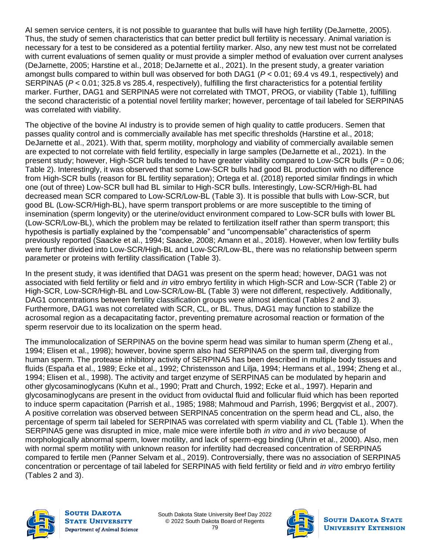AI semen service centers, it is not possible to guarantee that bulls will have high fertility (DeJarnette, 2005). Thus, the study of semen characteristics that can better predict bull fertility is necessary. Animal variation is necessary for a test to be considered as a potential fertility marker. Also, any new test must not be correlated with current evaluations of semen quality or must provide a simpler method of evaluation over current analyses (DeJarnette, 2005; Harstine et al., 2018; DeJarnette et al., 2021). In the present study, a greater variation amongst bulls compared to within bull was observed for both DAG1 (*P* < 0.01; 69.4 vs 49.1, respectively) and SERPINA5 ( $P < 0.01$ ; 325.8 vs 285.4, respectively), fulfilling the first characteristics for a potential fertility marker. Further, DAG1 and SERPINA5 were not correlated with TMOT, PROG, or viability (Table 1), fulfilling the second characteristic of a potential novel fertility marker; however, percentage of tail labeled for SERPINA5 was correlated with viability.

The objective of the bovine AI industry is to provide semen of high quality to cattle producers. Semen that passes quality control and is commercially available has met specific thresholds (Harstine et al., 2018; DeJarnette et al., 2021). With that, sperm motility, morphology and viability of commercially available semen are expected to not correlate with field fertility, especially in large samples (DeJarnette et al., 2021). In the present study; however, High-SCR bulls tended to have greater viability compared to Low-SCR bulls (*P* = 0.06; Table 2). Interestingly, it was observed that some Low-SCR bulls had good BL production with no difference from High-SCR bulls (reason for BL fertility separation); Ortega et al. (2018) reported similar findings in which one (out of three) Low-SCR bull had BL similar to High-SCR bulls. Interestingly, Low-SCR/High-BL had decreased mean SCR compared to Low-SCR/Low-BL (Table 3). It is possible that bulls with Low-SCR, but good BL (Low-SCR/High-BL), have sperm transport problems or are more susceptible to the timing of insemination (sperm longevity) or the uterine/oviduct environment compared to Low-SCR bulls with lower BL (Low-SCR/Low-BL), which the problem may be related to fertilization itself rather than sperm transport; this hypothesis is partially explained by the "compensable" and "uncompensable" characteristics of sperm previously reported (Saacke et al., 1994; Saacke, 2008; Amann et al., 2018). However, when low fertility bulls were further divided into Low-SCR/High-BL and Low-SCR/Low-BL, there was no relationship between sperm parameter or proteins with fertility classification (Table 3).

In the present study, it was identified that DAG1 was present on the sperm head; however, DAG1 was not associated with field fertility or field and *in vitro* embryo fertility in which High-SCR and Low-SCR (Table 2) or High-SCR, Low-SCR/High-BL and Low-SCR/Low-BL (Table 3) were not different, respectively. Additionally, DAG1 concentrations between fertility classification groups were almost identical (Tables 2 and 3). Furthermore, DAG1 was not correlated with SCR, CL, or BL. Thus, DAG1 may function to stabilize the acrosomal region as a decapacitating factor, preventing premature acrosomal reaction or formation of the sperm reservoir due to its localization on the sperm head.

The immunolocalization of SERPINA5 on the bovine sperm head was similar to human sperm (Zheng et al., 1994; Elisen et al., 1998); however, bovine sperm also had SERPINA5 on the sperm tail, diverging from human sperm. The protease inhibitory activity of SERPINA5 has been described in multiple body tissues and fluids (España et al., 1989; Ecke et al., 1992; Christensson and Lilja, 1994; Hermans et al., 1994; Zheng et al., 1994; Elisen et al., 1998). The activity and target enzyme of SERPINA5 can be modulated by heparin and other glycosaminoglycans (Kuhn et al., 1990; Pratt and Church, 1992; Ecke et al., 1997). Heparin and glycosaminoglycans are present in the oviduct from oviductal fluid and follicular fluid which has been reported to induce sperm capacitation (Parrish et al., 1985; 1988; Mahmoud and Parrish, 1996; Bergqvist et al., 2007). A positive correlation was observed between SERPINA5 concentration on the sperm head and CL, also, the percentage of sperm tail labeled for SERPINA5 was correlated with sperm viability and CL (Table 1). When the SERPINA5 gene was disrupted in mice, male mice were infertile both *in vitro* and *in vivo* because of morphologically abnormal sperm, lower motility, and lack of sperm-egg binding (Uhrin et al., 2000). Also, men with normal sperm motility with unknown reason for infertility had decreased concentration of SERPINA5 compared to fertile men (Panner Selvam et al., 2019). Controversially, there was no association of SERPINA5 concentration or percentage of tail labeled for SERPINA5 with field fertility or field and *in vitro* embryo fertility (Tables 2 and 3).



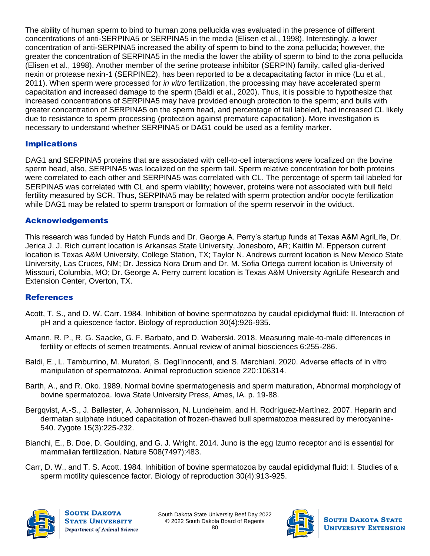The ability of human sperm to bind to human zona pellucida was evaluated in the presence of different concentrations of anti-SERPINA5 or SERPINA5 in the media (Elisen et al., 1998). Interestingly, a lower concentration of anti-SERPINA5 increased the ability of sperm to bind to the zona pellucida; however, the greater the concentration of SERPINA5 in the media the lower the ability of sperm to bind to the zona pellucida (Elisen et al., 1998). Another member of the serine protease inhibitor (SERPIN) family, called glia-derived nexin or protease nexin-1 (SERPINE2), has been reported to be a decapacitating factor in mice (Lu et al., 2011). When sperm were processed for *in vitro* fertilization, the processing may have accelerated sperm capacitation and increased damage to the sperm (Baldi et al., 2020). Thus, it is possible to hypothesize that increased concentrations of SERPINA5 may have provided enough protection to the sperm; and bulls with greater concentration of SERPINA5 on the sperm head, and percentage of tail labeled, had increased CL likely due to resistance to sperm processing (protection against premature capacitation). More investigation is necessary to understand whether SERPINA5 or DAG1 could be used as a fertility marker.

#### Implications

DAG1 and SERPINA5 proteins that are associated with cell-to-cell interactions were localized on the bovine sperm head, also, SERPINA5 was localized on the sperm tail. Sperm relative concentration for both proteins were correlated to each other and SERPINA5 was correlated with CL. The percentage of sperm tail labeled for SERPINA5 was correlated with CL and sperm viability; however, proteins were not associated with bull field fertility measured by SCR. Thus, SERPINA5 may be related with sperm protection and/or oocyte fertilization while DAG1 may be related to sperm transport or formation of the sperm reservoir in the oviduct.

#### Acknowledgements

This research was funded by Hatch Funds and Dr. George A. Perry's startup funds at Texas A&M AgriLife, Dr. Jerica J. J. Rich current location is Arkansas State University, Jonesboro, AR; Kaitlin M. Epperson current location is Texas A&M University, College Station, TX; Taylor N. Andrews current location is New Mexico State University, Las Cruces, NM; Dr. Jessica Nora Drum and Dr. M. Sofia Ortega current location is University of Missouri, Columbia, MO; Dr. George A. Perry current location is Texas A&M University AgriLife Research and Extension Center, Overton, TX.

#### **References**

- Acott, T. S., and D. W. Carr. 1984. Inhibition of bovine spermatozoa by caudal epididymal fluid: II. Interaction of pH and a quiescence factor. Biology of reproduction 30(4):926-935.
- Amann, R. P., R. G. Saacke, G. F. Barbato, and D. Waberski. 2018. Measuring male-to-male differences in fertility or effects of semen treatments. Annual review of animal biosciences 6:255-286.
- Baldi, E., L. Tamburrino, M. Muratori, S. Degl'Innocenti, and S. Marchiani. 2020. Adverse effects of in vitro manipulation of spermatozoa. Animal reproduction science 220:106314.
- Barth, A., and R. Oko. 1989. Normal bovine spermatogenesis and sperm maturation, Abnormal morphology of bovine spermatozoa. Iowa State University Press, Ames, IA. p. 19-88.
- Bergqvist, A.-S., J. Ballester, A. Johannisson, N. Lundeheim, and H. Rodríguez-Martínez. 2007. Heparin and dermatan sulphate induced capacitation of frozen-thawed bull spermatozoa measured by merocyanine-540. Zygote 15(3):225-232.
- Bianchi, E., B. Doe, D. Goulding, and G. J. Wright. 2014. Juno is the egg Izumo receptor and is essential for mammalian fertilization. Nature 508(7497):483.
- Carr, D. W., and T. S. Acott. 1984. Inhibition of bovine spermatozoa by caudal epididymal fluid: I. Studies of a sperm motility quiescence factor. Biology of reproduction 30(4):913-925.



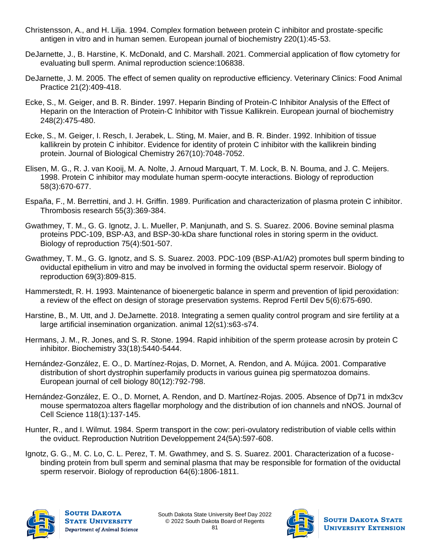- Christensson, A., and H. Lilja. 1994. Complex formation between protein C inhibitor and prostate‐specific antigen in vitro and in human semen. European journal of biochemistry 220(1):45-53.
- DeJarnette, J., B. Harstine, K. McDonald, and C. Marshall. 2021. Commercial application of flow cytometry for evaluating bull sperm. Animal reproduction science:106838.
- DeJarnette, J. M. 2005. The effect of semen quality on reproductive efficiency. Veterinary Clinics: Food Animal Practice 21(2):409-418.
- Ecke, S., M. Geiger, and B. R. Binder. 1997. Heparin Binding of Protein‐C Inhibitor Analysis of the Effect of Heparin on the Interaction of Protein‐C Inhibitor with Tissue Kallikrein. European journal of biochemistry 248(2):475-480.
- Ecke, S., M. Geiger, I. Resch, I. Jerabek, L. Sting, M. Maier, and B. R. Binder. 1992. Inhibition of tissue kallikrein by protein C inhibitor. Evidence for identity of protein C inhibitor with the kallikrein binding protein. Journal of Biological Chemistry 267(10):7048-7052.
- Elisen, M. G., R. J. van Kooij, M. A. Nolte, J. Arnoud Marquart, T. M. Lock, B. N. Bouma, and J. C. Meijers. 1998. Protein C inhibitor may modulate human sperm-oocyte interactions. Biology of reproduction 58(3):670-677.
- España, F., M. Berrettini, and J. H. Griffin. 1989. Purification and characterization of plasma protein C inhibitor. Thrombosis research 55(3):369-384.
- Gwathmey, T. M., G. G. Ignotz, J. L. Mueller, P. Manjunath, and S. S. Suarez. 2006. Bovine seminal plasma proteins PDC-109, BSP-A3, and BSP-30-kDa share functional roles in storing sperm in the oviduct. Biology of reproduction 75(4):501-507.
- Gwathmey, T. M., G. G. Ignotz, and S. S. Suarez. 2003. PDC-109 (BSP-A1/A2) promotes bull sperm binding to oviductal epithelium in vitro and may be involved in forming the oviductal sperm reservoir. Biology of reproduction 69(3):809-815.
- Hammerstedt, R. H. 1993. Maintenance of bioenergetic balance in sperm and prevention of lipid peroxidation: a review of the effect on design of storage preservation systems. Reprod Fertil Dev 5(6):675-690.
- Harstine, B., M. Utt, and J. DeJarnette. 2018. Integrating a semen quality control program and sire fertility at a large artificial insemination organization. animal 12(s1):s63-s74.
- Hermans, J. M., R. Jones, and S. R. Stone. 1994. Rapid inhibition of the sperm protease acrosin by protein C inhibitor. Biochemistry 33(18):5440-5444.
- Hernández-González, E. O., D. Martínez-Rojas, D. Mornet, A. Rendon, and A. Mújica. 2001. Comparative distribution of short dystrophin superfamily products in various guinea pig spermatozoa domains. European journal of cell biology 80(12):792-798.
- Hernández-González, E. O., D. Mornet, A. Rendon, and D. Martínez-Rojas. 2005. Absence of Dp71 in mdx3cv mouse spermatozoa alters flagellar morphology and the distribution of ion channels and nNOS. Journal of Cell Science 118(1):137-145.
- Hunter, R., and I. Wilmut. 1984. Sperm transport in the cow: peri-ovulatory redistribution of viable cells within the oviduct. Reproduction Nutrition Developpement 24(5A):597-608.
- Ignotz, G. G., M. C. Lo, C. L. Perez, T. M. Gwathmey, and S. S. Suarez. 2001. Characterization of a fucosebinding protein from bull sperm and seminal plasma that may be responsible for formation of the oviductal sperm reservoir. Biology of reproduction 64(6):1806-1811.



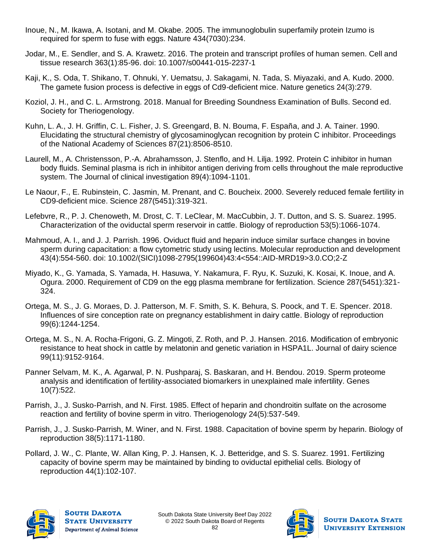- Inoue, N., M. Ikawa, A. Isotani, and M. Okabe. 2005. The immunoglobulin superfamily protein Izumo is required for sperm to fuse with eggs. Nature 434(7030):234.
- Jodar, M., E. Sendler, and S. A. Krawetz. 2016. The protein and transcript profiles of human semen. Cell and tissue research 363(1):85-96. doi: 10.1007/s00441-015-2237-1
- Kaji, K., S. Oda, T. Shikano, T. Ohnuki, Y. Uematsu, J. Sakagami, N. Tada, S. Miyazaki, and A. Kudo. 2000. The gamete fusion process is defective in eggs of Cd9-deficient mice. Nature genetics 24(3):279.
- Koziol, J. H., and C. L. Armstrong. 2018. Manual for Breeding Soundness Examination of Bulls. Second ed. Society for Theriogenology.
- Kuhn, L. A., J. H. Griffin, C. L. Fisher, J. S. Greengard, B. N. Bouma, F. España, and J. A. Tainer. 1990. Elucidating the structural chemistry of glycosaminoglycan recognition by protein C inhibitor. Proceedings of the National Academy of Sciences 87(21):8506-8510.
- Laurell, M., A. Christensson, P.-A. Abrahamsson, J. Stenflo, and H. Lilja. 1992. Protein C inhibitor in human body fluids. Seminal plasma is rich in inhibitor antigen deriving from cells throughout the male reproductive system. The Journal of clinical investigation 89(4):1094-1101.
- Le Naour, F., E. Rubinstein, C. Jasmin, M. Prenant, and C. Boucheix. 2000. Severely reduced female fertility in CD9-deficient mice. Science 287(5451):319-321.
- Lefebvre, R., P. J. Chenoweth, M. Drost, C. T. LeClear, M. MacCubbin, J. T. Dutton, and S. S. Suarez. 1995. Characterization of the oviductal sperm reservoir in cattle. Biology of reproduction 53(5):1066-1074.
- Mahmoud, A. I., and J. J. Parrish. 1996. Oviduct fluid and heparin induce similar surface changes in bovine sperm during capacitation: a flow cytometric study using lectins. Molecular reproduction and development 43(4):554-560. doi: 10.1002/(SICI)1098-2795(199604)43:4<554::AID-MRD19>3.0.CO;2-Z
- Miyado, K., G. Yamada, S. Yamada, H. Hasuwa, Y. Nakamura, F. Ryu, K. Suzuki, K. Kosai, K. Inoue, and A. Ogura. 2000. Requirement of CD9 on the egg plasma membrane for fertilization. Science 287(5451):321- 324.
- Ortega, M. S., J. G. Moraes, D. J. Patterson, M. F. Smith, S. K. Behura, S. Poock, and T. E. Spencer. 2018. Influences of sire conception rate on pregnancy establishment in dairy cattle. Biology of reproduction 99(6):1244-1254.
- Ortega, M. S., N. A. Rocha-Frigoni, G. Z. Mingoti, Z. Roth, and P. J. Hansen. 2016. Modification of embryonic resistance to heat shock in cattle by melatonin and genetic variation in HSPA1L. Journal of dairy science 99(11):9152-9164.
- Panner Selvam, M. K., A. Agarwal, P. N. Pushparaj, S. Baskaran, and H. Bendou. 2019. Sperm proteome analysis and identification of fertility-associated biomarkers in unexplained male infertility. Genes 10(7):522.
- Parrish, J., J. Susko-Parrish, and N. First. 1985. Effect of heparin and chondroitin sulfate on the acrosome reaction and fertility of bovine sperm in vitro. Theriogenology 24(5):537-549.
- Parrish, J., J. Susko-Parrish, M. Winer, and N. First. 1988. Capacitation of bovine sperm by heparin. Biology of reproduction 38(5):1171-1180.
- Pollard, J. W., C. Plante, W. Allan King, P. J. Hansen, K. J. Betteridge, and S. S. Suarez. 1991. Fertilizing capacity of bovine sperm may be maintained by binding to oviductal epithelial cells. Biology of reproduction 44(1):102-107.



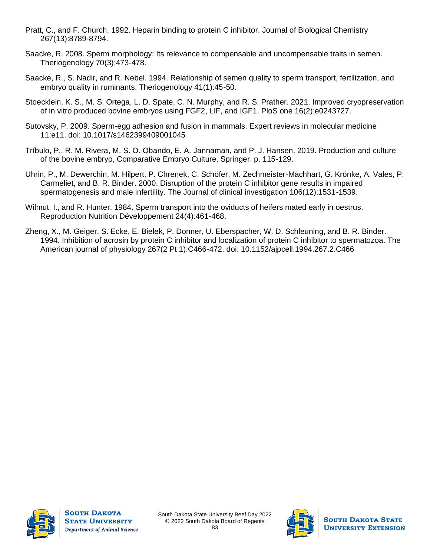- Pratt, C., and F. Church. 1992. Heparin binding to protein C inhibitor. Journal of Biological Chemistry 267(13):8789-8794.
- Saacke, R. 2008. Sperm morphology: Its relevance to compensable and uncompensable traits in semen. Theriogenology 70(3):473-478.
- Saacke, R., S. Nadir, and R. Nebel. 1994. Relationship of semen quality to sperm transport, fertilization, and embryo quality in ruminants. Theriogenology 41(1):45-50.
- Stoecklein, K. S., M. S. Ortega, L. D. Spate, C. N. Murphy, and R. S. Prather. 2021. Improved cryopreservation of in vitro produced bovine embryos using FGF2, LIF, and IGF1. PloS one 16(2):e0243727.
- Sutovsky, P. 2009. Sperm-egg adhesion and fusion in mammals. Expert reviews in molecular medicine 11:e11. doi: 10.1017/s1462399409001045
- Tríbulo, P., R. M. Rivera, M. S. O. Obando, E. A. Jannaman, and P. J. Hansen. 2019. Production and culture of the bovine embryo, Comparative Embryo Culture. Springer. p. 115-129.
- Uhrin, P., M. Dewerchin, M. Hilpert, P. Chrenek, C. Schöfer, M. Zechmeister-Machhart, G. Krönke, A. Vales, P. Carmeliet, and B. R. Binder. 2000. Disruption of the protein C inhibitor gene results in impaired spermatogenesis and male infertility. The Journal of clinical investigation 106(12):1531-1539.
- Wilmut, I., and R. Hunter. 1984. Sperm transport into the oviducts of heifers mated early in oestrus. Reproduction Nutrition Développement 24(4):461-468.
- Zheng, X., M. Geiger, S. Ecke, E. Bielek, P. Donner, U. Eberspacher, W. D. Schleuning, and B. R. Binder. 1994. Inhibition of acrosin by protein C inhibitor and localization of protein C inhibitor to spermatozoa. The American journal of physiology 267(2 Pt 1):C466-472. doi: 10.1152/ajpcell.1994.267.2.C466



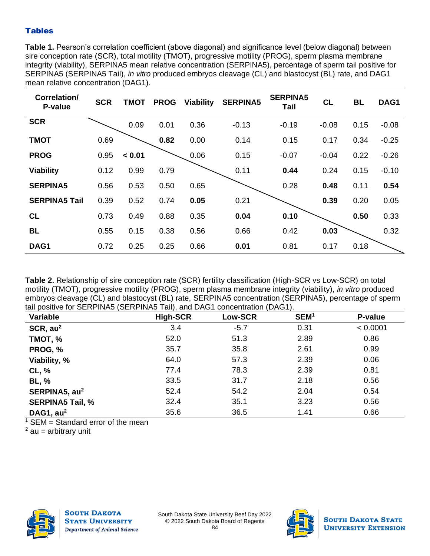#### **Tables**

**Table 1.** Pearson's correlation coefficient (above diagonal) and significance level (below diagonal) between sire conception rate (SCR), total motility (TMOT), progressive motility (PROG), sperm plasma membrane integrity (viability), SERPINA5 mean relative concentration (SERPINA5), percentage of sperm tail positive for SERPINA5 (SERPINA5 Tail), *in vitro* produced embryos cleavage (CL) and blastocyst (BL) rate, and DAG1 mean relative concentration (DAG1).

| Correlation/<br>P-value | <b>SCR</b> | <b>TMOT</b> | <b>PROG</b> | Viability | <b>SERPINA5</b> | <b>SERPINA5</b><br>Tail | <b>CL</b> | <b>BL</b> | DAG1    |
|-------------------------|------------|-------------|-------------|-----------|-----------------|-------------------------|-----------|-----------|---------|
| <b>SCR</b>              |            | 0.09        | 0.01        | 0.36      | $-0.13$         | $-0.19$                 | $-0.08$   | 0.15      | $-0.08$ |
| <b>TMOT</b>             | 0.69       |             | 0.82        | 0.00      | 0.14            | 0.15                    | 0.17      | 0.34      | $-0.25$ |
| <b>PROG</b>             | 0.95       | < 0.01      |             | 0.06      | 0.15            | $-0.07$                 | $-0.04$   | 0.22      | $-0.26$ |
| <b>Viability</b>        | 0.12       | 0.99        | 0.79        |           | 0.11            | 0.44                    | 0.24      | 0.15      | $-0.10$ |
| <b>SERPINA5</b>         | 0.56       | 0.53        | 0.50        | 0.65      |                 | 0.28                    | 0.48      | 0.11      | 0.54    |
| <b>SERPINA5 Tail</b>    | 0.39       | 0.52        | 0.74        | 0.05      | 0.21            |                         | 0.39      | 0.20      | 0.05    |
| <b>CL</b>               | 0.73       | 0.49        | 0.88        | 0.35      | 0.04            | 0.10                    |           | 0.50      | 0.33    |
| <b>BL</b>               | 0.55       | 0.15        | 0.38        | 0.56      | 0.66            | 0.42                    | 0.03      |           | 0.32    |
| DAG1                    | 0.72       | 0.25        | 0.25        | 0.66      | 0.01            | 0.81                    | 0.17      | 0.18      |         |

**Table 2.** Relationship of sire conception rate (SCR) fertility classification (High-SCR vs Low-SCR) on total motility (TMOT), progressive motility (PROG), sperm plasma membrane integrity (viability), *in vitro* produced embryos cleavage (CL) and blastocyst (BL) rate, SERPINA5 concentration (SERPINA5), percentage of sperm tail positive for SERPINA5 (SERPINA5 Tail), and DAG1 concentration (DAG1).

| Variable                  | $\cdots$<br><b>High-SCR</b> | Low-SCR | SEM <sup>1</sup> | P-value  |
|---------------------------|-----------------------------|---------|------------------|----------|
| SCR, au <sup>2</sup>      | 3.4                         | $-5.7$  | 0.31             | < 0.0001 |
| TMOT, %                   | 52.0                        | 51.3    | 2.89             | 0.86     |
| PROG, %                   | 35.7                        | 35.8    | 2.61             | 0.99     |
| Viability, %              | 64.0                        | 57.3    | 2.39             | 0.06     |
| CL, %                     | 77.4                        | 78.3    | 2.39             | 0.81     |
| <b>BL, %</b>              | 33.5                        | 31.7    | 2.18             | 0.56     |
| SERPINA5, au <sup>2</sup> | 52.4                        | 54.2    | 2.04             | 0.54     |
| <b>SERPINA5 Tail, %</b>   | 32.4                        | 35.1    | 3.23             | 0.56     |
| DAG1, $au2$               | 35.6                        | 36.5    | 1.41             | 0.66     |

 $1$  SEM = Standard error of the mean

 $2$  au = arbitrary unit